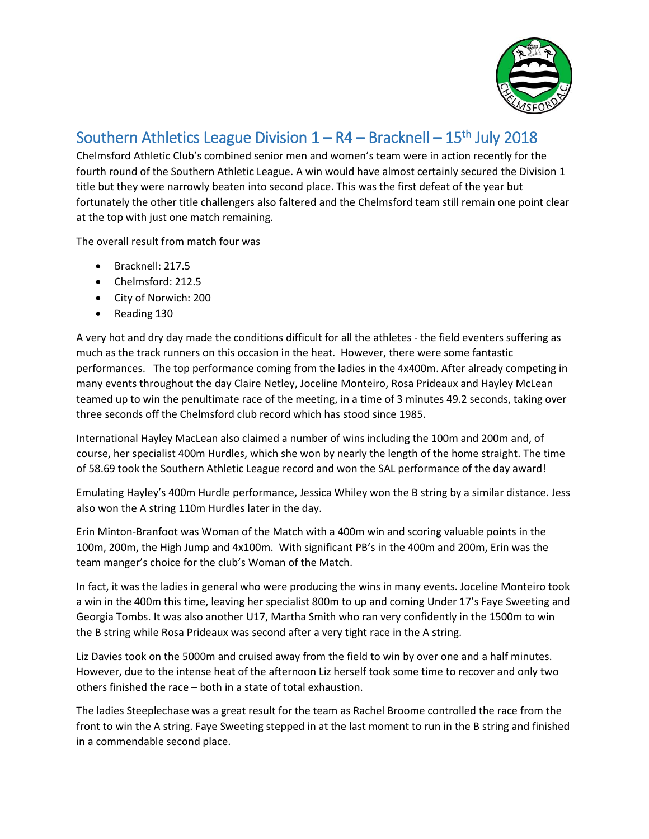

## Southern Athletics League Division  $1 - R4 - Bracknell - 15<sup>th</sup> July 2018$

Chelmsford Athletic Club's combined senior men and women's team were in action recently for the fourth round of the Southern Athletic League. A win would have almost certainly secured the Division 1 title but they were narrowly beaten into second place. This was the first defeat of the year but fortunately the other title challengers also faltered and the Chelmsford team still remain one point clear at the top with just one match remaining.

The overall result from match four was

- Bracknell: 217.5
- Chelmsford: 212.5
- City of Norwich: 200
- Reading 130

A very hot and dry day made the conditions difficult for all the athletes - the field eventers suffering as much as the track runners on this occasion in the heat. However, there were some fantastic performances. The top performance coming from the ladies in the 4x400m. After already competing in many events throughout the day Claire Netley, Joceline Monteiro, Rosa Prideaux and Hayley McLean teamed up to win the penultimate race of the meeting, in a time of 3 minutes 49.2 seconds, taking over three seconds off the Chelmsford club record which has stood since 1985.

International Hayley MacLean also claimed a number of wins including the 100m and 200m and, of course, her specialist 400m Hurdles, which she won by nearly the length of the home straight. The time of 58.69 took the Southern Athletic League record and won the SAL performance of the day award!

Emulating Hayley's 400m Hurdle performance, Jessica Whiley won the B string by a similar distance. Jess also won the A string 110m Hurdles later in the day.

Erin Minton-Branfoot was Woman of the Match with a 400m win and scoring valuable points in the 100m, 200m, the High Jump and 4x100m. With significant PB's in the 400m and 200m, Erin was the team manger's choice for the club's Woman of the Match.

In fact, it was the ladies in general who were producing the wins in many events. Joceline Monteiro took a win in the 400m this time, leaving her specialist 800m to up and coming Under 17's Faye Sweeting and Georgia Tombs. It was also another U17, Martha Smith who ran very confidently in the 1500m to win the B string while Rosa Prideaux was second after a very tight race in the A string.

Liz Davies took on the 5000m and cruised away from the field to win by over one and a half minutes. However, due to the intense heat of the afternoon Liz herself took some time to recover and only two others finished the race – both in a state of total exhaustion.

The ladies Steeplechase was a great result for the team as Rachel Broome controlled the race from the front to win the A string. Faye Sweeting stepped in at the last moment to run in the B string and finished in a commendable second place.